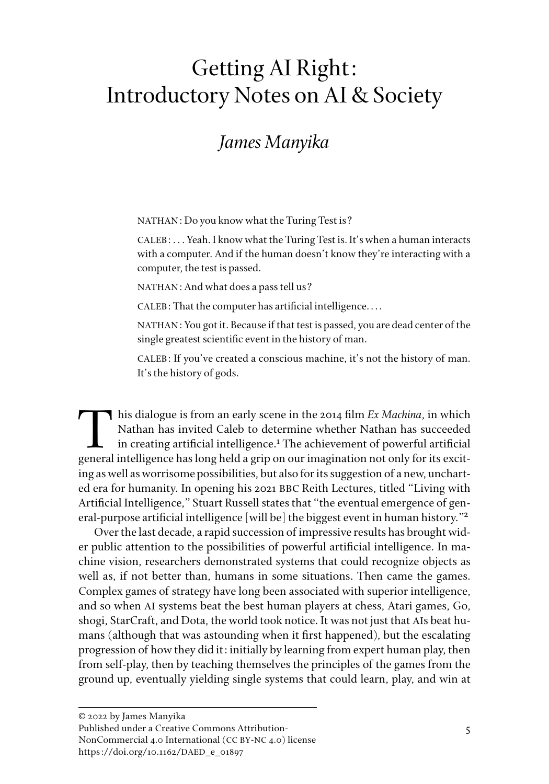# Getting AI Right: Introductory Notes on AI & Society

# *James Manyika*

NATHAN: Do you know what the Turing Test is?

CALEB: . . . Yeah. I know what the Turing Test is. It's when a human interacts with a computer. And if the human doesn't know they're interacting with a computer, the test is passed.

NATHAN: And what does a pass tell us?

CALEB: That the computer has artificial intelligence. . . .

NATHAN: You got it. Because if that test is passed, you are dead center of the single greatest scientific event in the history of man.

CALEB: If you've created a conscious machine, it's not the history of man. It's the history of gods.

**T** his dialogue is from an early scene in the 2014 film *Ex Machina*, in which Nathan has invited Caleb to determine whether Nathan has succeeded in creating artificial intelligence.<sup>1</sup> The achievement of powerful artificial general intelligence has long held a grip on our imagination not only for its exciting as well as worrisome possibilities, but also for its suggestion of a new, uncharted era for humanity. In opening his 2021 BBC Reith Lectures, titled "Living with Artificial Intelligence," Stuart Russell states that "the eventual emergence of general-purpose artificial intelligence [will be] the biggest event in human history."2

Over the last decade, a rapid succession of impressive results has brought wider public attention to the possibilities of powerful artificial intelligence. In machine vision, researchers demonstrated systems that could recognize objects as well as, if not better than, humans in some situations. Then came the games. Complex games of strategy have long been associated with superior intelligence, and so when AI systems beat the best human players at chess, Atari games, Go, shogi, StarCraft, and Dota, the world took notice. It was not just that AIs beat humans (although that was astounding when it first happened), but the escalating progression of how they did it: initially by learning from expert human play, then from self-play, then by teaching themselves the principles of the games from the ground up, eventually yielding single systems that could learn, play, and win at

NonCommercial 4.0 International (CC BY-NC 4.0) license https://doi.org/10.1162/DAED\_e\_01897

<sup>© 2022</sup> by James Manyika

Published under a Creative Commons Attribution-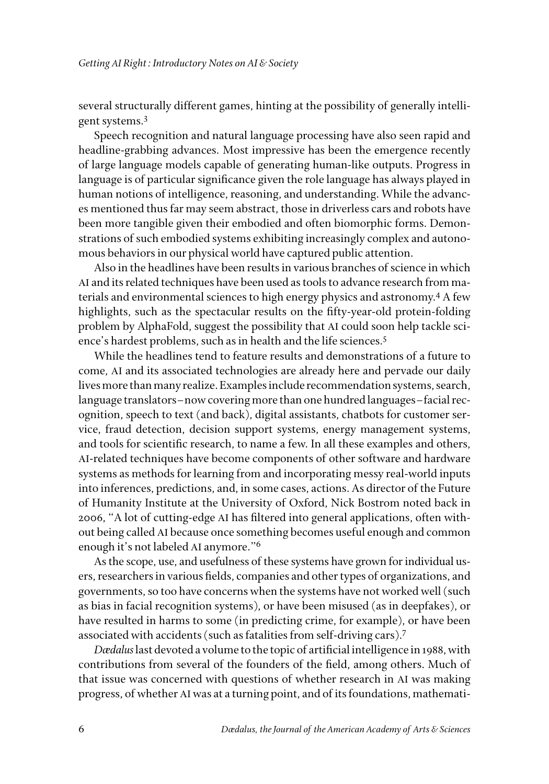several structurally different games, hinting at the possibility of generally intelligent systems.3

Speech recognition and natural language processing have also seen rapid and headline-grabbing advances. Most impressive has been the emergence recently of large language models capable of generating human-like outputs. Progress in language is of particular significance given the role language has always played in human notions of intelligence, reasoning, and understanding. While the advances mentioned thus far may seem abstract, those in driverless cars and robots have been more tangible given their embodied and often biomorphic forms. Demonstrations of such embodied systems exhibiting increasingly complex and autonomous behaviors in our physical world have captured public attention.

Also in the headlines have been results in various branches of science in which AI and its related techniques have been used as tools to advance research from materials and environmental sciences to high energy physics and astronomy.4 A few highlights, such as the spectacular results on the fifty-year-old protein-folding problem by AlphaFold, suggest the possibility that AI could soon help tackle science's hardest problems, such as in health and the life sciences.<sup>5</sup>

While the headlines tend to feature results and demonstrations of a future to come, AI and its associated technologies are already here and pervade our daily lives more than many realize. Examples include recommendation systems, search, language translators–now covering more than one hundred languages–facial recognition, speech to text (and back), digital assistants, chatbots for customer service, fraud detection, decision support systems, energy management systems, and tools for scientific research, to name a few. In all these examples and others, AI-related techniques have become components of other software and hardware systems as methods for learning from and incorporating messy real-world inputs into inferences, predictions, and, in some cases, actions. As director of the Future of Humanity Institute at the University of Oxford, Nick Bostrom noted back in 2006, "A lot of cutting-edge AI has filtered into general applications, often without being called AI because once something becomes useful enough and common enough it's not labeled AI anymore."6

As the scope, use, and usefulness of these systems have grown for individual users, researchers in various fields, companies and other types of organizations, and governments, so too have concerns when the systems have not worked well (such as bias in facial recognition systems), or have been misused (as in deepfakes), or have resulted in harms to some (in predicting crime, for example), or have been associated with accidents (such as fatalities from self-driving cars).7

*Dædalus* last devoted a volume to the topic of artificial intelligence in 1988, with contributions from several of the founders of the field, among others. Much of that issue was concerned with questions of whether research in AI was making progress, of whether AI was at a turning point, and of its foundations, mathemati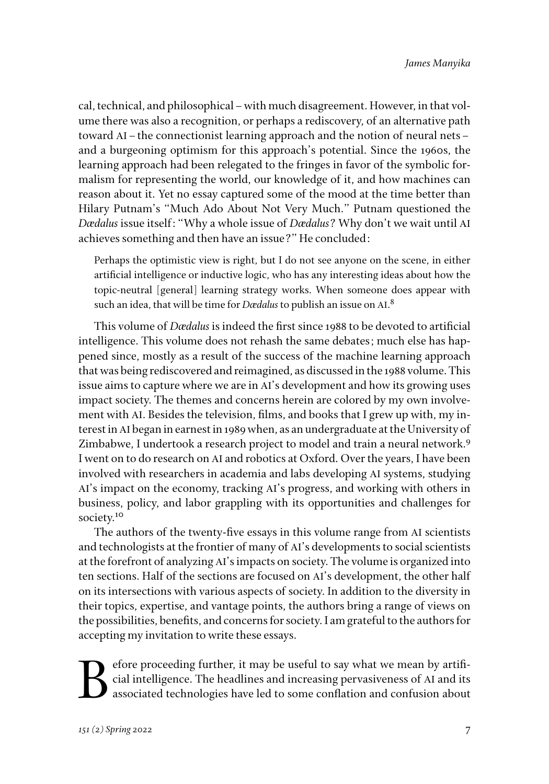cal, technical, and philosophical–with much disagreement. However, in that volume there was also a recognition, or perhaps a rediscovery, of an alternative path toward AI–the connectionist learning approach and the notion of neural nets– and a burgeoning optimism for this approach's potential. Since the 1960s, the learning approach had been relegated to the fringes in favor of the symbolic formalism for representing the world, our knowledge of it, and how machines can reason about it. Yet no essay captured some of the mood at the time better than Hilary Putnam's "Much Ado About Not Very Much." Putnam questioned the *Dædalus* issue itself: "Why a whole issue of *Dædalus*? Why don't we wait until AI achieves something and then have an issue?" He concluded:

Perhaps the optimistic view is right, but I do not see anyone on the scene, in either artificial intelligence or inductive logic, who has any interesting ideas about how the topic-neutral [general] learning strategy works. When someone does appear with such an idea, that will be time for *Dædalus* to publish an issue on AI. 8

This volume of *Dædalus* is indeed the first since 1988 to be devoted to artificial intelligence. This volume does not rehash the same debates; much else has happened since, mostly as a result of the success of the machine learning approach that was being rediscovered and reimagined, as discussed in the 1988 volume. This issue aims to capture where we are in AI's development and how its growing uses impact society. The themes and concerns herein are colored by my own involvement with AI. Besides the television, films, and books that I grew up with, my interest in AI began in earnest in 1989 when, as an undergraduate at the University of Zimbabwe, I undertook a research project to model and train a neural network.<sup>9</sup> I went on to do research on AI and robotics at Oxford. Over the years, I have been involved with researchers in academia and labs developing AI systems, studying AI's impact on the economy, tracking AI's progress, and working with others in business, policy, and labor grappling with its opportunities and challenges for society.<sup>10</sup>

The authors of the twenty-five essays in this volume range from AI scientists and technologists at the frontier of many of AI's developments to social scientists at the forefront of analyzing AI's impacts on society. The volume is organized into ten sections. Half of the sections are focused on AI's development, the other half on its intersections with various aspects of society. In addition to the diversity in their topics, expertise, and vantage points, the authors bring a range of views on the possibilities, benefits, and concerns for society. I am grateful to the authors for accepting my invitation to write these essays.

Experience proceeding further, it may be useful to say what we mean by artificial intelligence. The headlines and increasing pervasiveness of AI and its associated technologies have led to some conflation and confusion abo cial intelligence. The headlines and increasing pervasiveness of AI and its associated technologies have led to some conflation and confusion about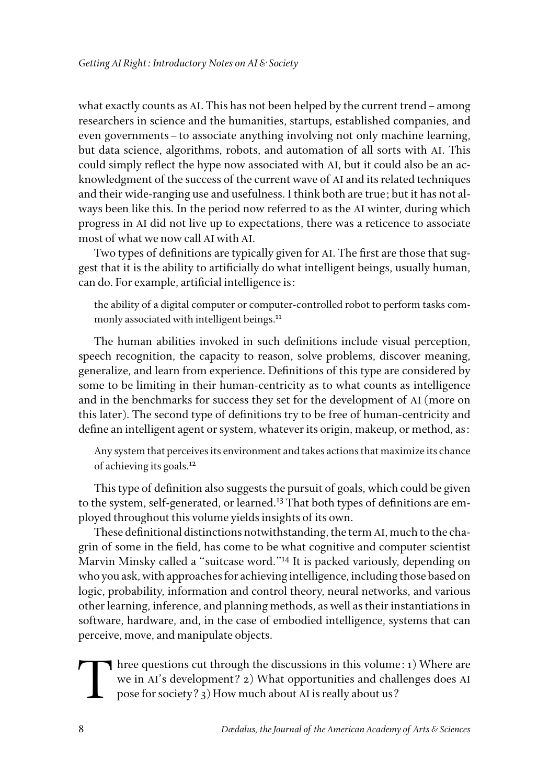what exactly counts as AI. This has not been helped by the current trend–among researchers in science and the humanities, startups, established companies, and even governments–to associate anything involving not only machine learning, but data science, algorithms, robots, and automation of all sorts with AI. This could simply reflect the hype now associated with AI, but it could also be an acknowledgment of the success of the current wave of AI and its related techniques and their wide-ranging use and usefulness. I think both are true; but it has not always been like this. In the period now referred to as the AI winter, during which progress in AI did not live up to expectations, there was a reticence to associate most of what we now call AI with AI.

Two types of definitions are typically given for AI. The first are those that suggest that it is the ability to artificially do what intelligent beings, usually human, can do. For example, artificial intelligence is:

the ability of a digital computer or computer-controlled robot to perform tasks commonly associated with intelligent beings.<sup>11</sup>

The human abilities invoked in such definitions include visual perception, speech recognition, the capacity to reason, solve problems, discover meaning, generalize, and learn from experience. Definitions of this type are considered by some to be limiting in their human-centricity as to what counts as intelligence and in the benchmarks for success they set for the development of AI (more on this later). The second type of definitions try to be free of human-centricity and define an intelligent agent or system, whatever its origin, makeup, or method, as:

Any system that perceives its environment and takes actions that maximize its chance of achieving its goals.12

This type of definition also suggests the pursuit of goals, which could be given to the system, self-generated, or learned.<sup>13</sup> That both types of definitions are employed throughout this volume yields insights of its own.

These definitional distinctions notwithstanding, the term AI, much to the chagrin of some in the field, has come to be what cognitive and computer scientist Marvin Minsky called a "suitcase word."14 It is packed variously, depending on who you ask, with approaches for achieving intelligence, including those based on logic, probability, information and control theory, neural networks, and various other learning, inference, and planning methods, as well as their instantiations in software, hardware, and, in the case of embodied intelligence, systems that can perceive, move, and manipulate objects.

Three questions cut through the discussions in this volume: 1) Where are we in AI's development? 2) What opportunities and challenges does AI pose for society? 3) How much about AI is really about us?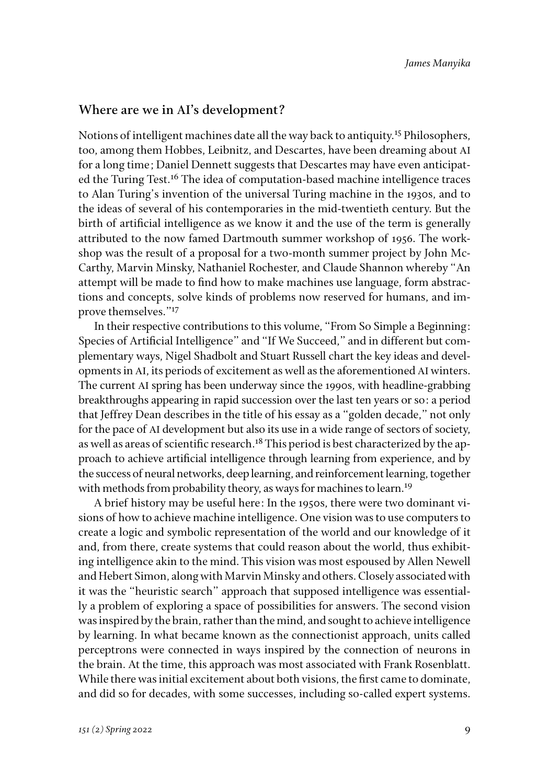#### **Where are we in AI's development?**

Notions of intelligent machines date all the way back to antiquity.15 Philosophers, too, among them Hobbes, Leibnitz, and Descartes, have been dreaming about AI for a long time; Daniel Dennett suggests that Descartes may have even anticipated the Turing Test.<sup>16</sup> The idea of computation-based machine intelligence traces to Alan Turing's invention of the universal Turing machine in the 1930s, and to the ideas of several of his contemporaries in the mid-twentieth century. But the birth of artificial intelligence as we know it and the use of the term is generally attributed to the now famed Dartmouth summer workshop of 1956. The workshop was the result of a proposal for a two-month summer project by John Mc-Carthy, Marvin Minsky, Nathaniel Rochester, and Claude Shannon whereby "An attempt will be made to find how to make machines use language, form abstractions and concepts, solve kinds of problems now reserved for humans, and improve themselves."<sup>17</sup>

In their respective contributions to this volume, "From So Simple a Beginning: Species of Artificial Intelligence" and "If We Succeed," and in different but complementary ways, Nigel Shadbolt and Stuart Russell chart the key ideas and developments in AI, its periods of excitement as well as the aforementioned AI winters. The current AI spring has been underway since the 1990s, with headline-grabbing breakthroughs appearing in rapid succession over the last ten years or so: a period that Jeffrey Dean describes in the title of his essay as a "golden decade," not only for the pace of AI development but also its use in a wide range of sectors of society, as well as areas of scientific research.<sup>18</sup> This period is best characterized by the approach to achieve artificial intelligence through learning from experience, and by the success of neural networks, deep learning, and reinforcement learning, together with methods from probability theory, as ways for machines to learn.<sup>19</sup>

A brief history may be useful here: In the 1950s, there were two dominant visions of how to achieve machine intelligence. One vision was to use computers to create a logic and symbolic representation of the world and our knowledge of it and, from there, create systems that could reason about the world, thus exhibiting intelligence akin to the mind. This vision was most espoused by Allen Newell and Hebert Simon, along with Marvin Minsky and others. Closely associated with it was the "heuristic search" approach that supposed intelligence was essentially a problem of exploring a space of possibilities for answers. The second vision was inspired by the brain, rather than the mind, and sought to achieve intelligence by learning. In what became known as the connectionist approach, units called perceptrons were connected in ways inspired by the connection of neurons in the brain. At the time, this approach was most associated with Frank Rosenblatt. While there was initial excitement about both visions, the first came to dominate, and did so for decades, with some successes, including so-called expert systems.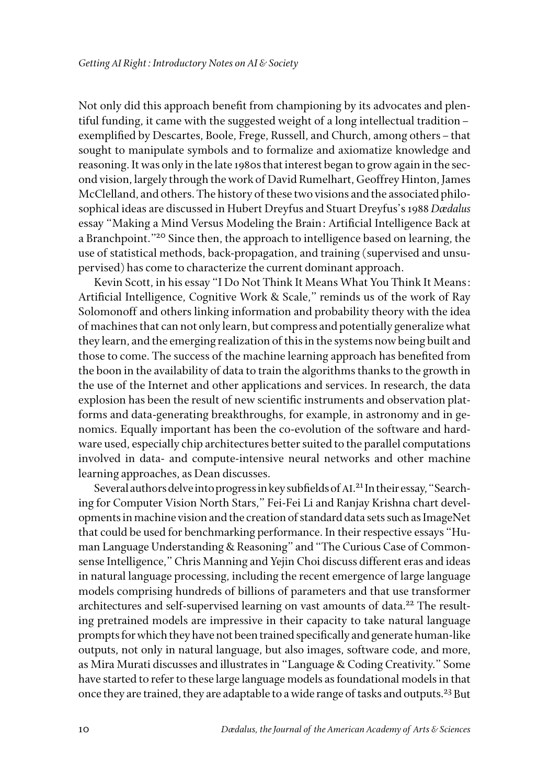Not only did this approach benefit from championing by its advocates and plentiful funding, it came with the suggested weight of a long intellectual tradition– exemplified by Descartes, Boole, Frege, Russell, and Church, among others–that sought to manipulate symbols and to formalize and axiomatize knowledge and reasoning. It was only in the late 1980s that interest began to grow again in the second vision, largely through the work of David Rumelhart, Geoffrey Hinton, James McClelland, and others. The history of these two visions and the associated philosophical ideas are discussed in Hubert Dreyfus and Stuart Dreyfus's 1988 *Dædalus* essay "Making a Mind Versus Modeling the Brain: Artificial Intelligence Back at a Branchpoint."<sup>20</sup> Since then, the approach to intelligence based on learning, the use of statistical methods, back-propagation, and training (supervised and unsupervised) has come to characterize the current dominant approach.

Kevin Scott, in his essay "I Do Not Think It Means What You Think It Means: Artificial Intelligence, Cognitive Work & Scale," reminds us of the work of Ray Solomonoff and others linking information and probability theory with the idea of machines that can not only learn, but compress and potentially generalize what they learn, and the emerging realization of this in the systems now being built and those to come. The success of the machine learning approach has benefited from the boon in the availability of data to train the algorithms thanks to the growth in the use of the Internet and other applications and services. In research, the data explosion has been the result of new scientific instruments and observation platforms and data-generating breakthroughs, for example, in astronomy and in genomics. Equally important has been the co-evolution of the software and hardware used, especially chip architectures better suited to the parallel computations involved in data- and compute-intensive neural networks and other machine learning approaches, as Dean discusses.

Several authors delve into progress in key subfields of AI. 21 In their essay, "Searching for Computer Vision North Stars," Fei-Fei Li and Ranjay Krishna chart developments in machine vision and the creation of standard data sets such as ImageNet that could be used for benchmarking performance. In their respective essays "Human Language Understanding & Reasoning" and "The Curious Case of Commonsense Intelligence," Chris Manning and Yejin Choi discuss different eras and ideas in natural language processing, including the recent emergence of large language models comprising hundreds of billions of parameters and that use transformer architectures and self-supervised learning on vast amounts of data.<sup>22</sup> The resulting pretrained models are impressive in their capacity to take natural language prompts for which they have not been trained specifically and generate human-like outputs, not only in natural language, but also images, software code, and more, as Mira Murati discusses and illustrates in "Language & Coding Creativity." Some have started to refer to these large language models as foundational models in that once they are trained, they are adaptable to a wide range of tasks and outputs.<sup>23</sup> But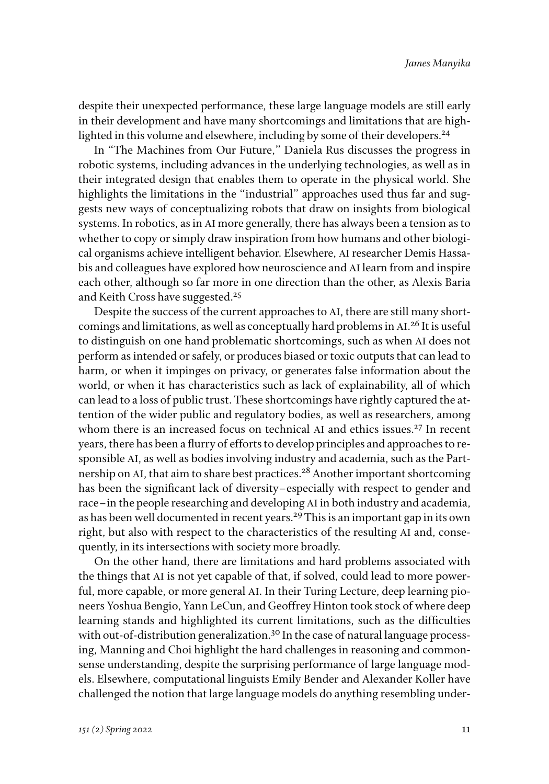despite their unexpected performance, these large language models are still early in their development and have many shortcomings and limitations that are highlighted in this volume and elsewhere, including by some of their developers.<sup>24</sup>

In "The Machines from Our Future," Daniela Rus discusses the progress in robotic systems, including advances in the underlying technologies, as well as in their integrated design that enables them to operate in the physical world. She highlights the limitations in the "industrial" approaches used thus far and suggests new ways of conceptualizing robots that draw on insights from biological systems. In robotics, as in AI more generally, there has always been a tension as to whether to copy or simply draw inspiration from how humans and other biological organisms achieve intelligent behavior. Elsewhere, AI researcher Demis Hassabis and colleagues have explored how neuroscience and AI learn from and inspire each other, although so far more in one direction than the other, as Alexis Baria and Keith Cross have suggested.<sup>25</sup>

Despite the success of the current approaches to AI, there are still many shortcomings and limitations, as well as conceptually hard problems in AI.<sup>26</sup> It is useful to distinguish on one hand problematic shortcomings, such as when AI does not perform as intended or safely, or produces biased or toxic outputs that can lead to harm, or when it impinges on privacy, or generates false information about the world, or when it has characteristics such as lack of explainability, all of which can lead to a loss of public trust. These shortcomings have rightly captured the attention of the wider public and regulatory bodies, as well as researchers, among whom there is an increased focus on technical AI and ethics issues.<sup>27</sup> In recent years, there has been a flurry of efforts to develop principles and approaches to responsible AI, as well as bodies involving industry and academia, such as the Partnership on AI, that aim to share best practices.<sup>28</sup> Another important shortcoming has been the significant lack of diversity–especially with respect to gender and race–in the people researching and developing AI in both industry and academia, as has been well documented in recent years.<sup>29</sup> This is an important gap in its own right, but also with respect to the characteristics of the resulting AI and, consequently, in its intersections with society more broadly.

On the other hand, there are limitations and hard problems associated with the things that AI is not yet capable of that, if solved, could lead to more powerful, more capable, or more general AI. In their Turing Lecture, deep learning pioneers Yoshua Bengio, Yann LeCun, and Geoffrey Hinton took stock of where deep learning stands and highlighted its current limitations, such as the difficulties with out-of-distribution generalization.<sup>30</sup> In the case of natural language processing, Manning and Choi highlight the hard challenges in reasoning and commonsense understanding, despite the surprising performance of large language models. Elsewhere, computational linguists Emily Bender and Alexander Koller have challenged the notion that large language models do anything resembling under-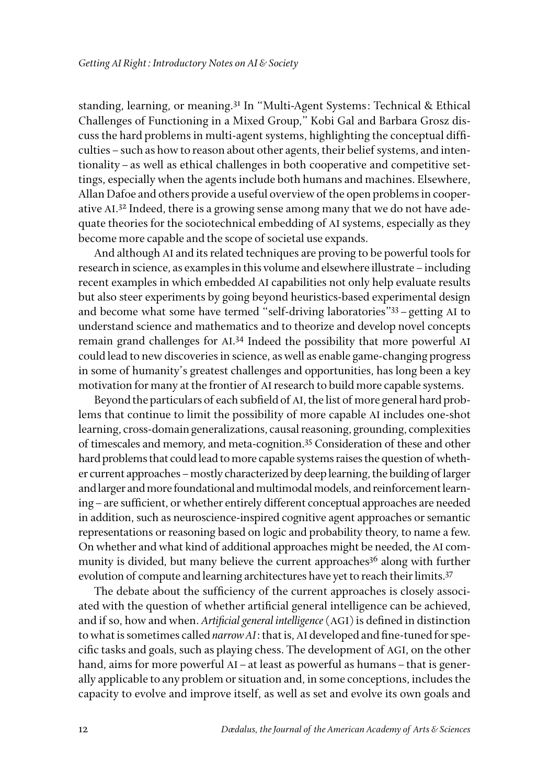standing, learning, or meaning.31 In "Multi-Agent Systems: Technical & Ethical Challenges of Functioning in a Mixed Group," Kobi Gal and Barbara Grosz discuss the hard problems in multi-agent systems, highlighting the conceptual difficulties–such as how to reason about other agents, their belief systems, and intentionality–as well as ethical challenges in both cooperative and competitive settings, especially when the agents include both humans and machines. Elsewhere, Allan Dafoe and others provide a useful overview of the open problems in cooperative AI. 32 Indeed, there is a growing sense among many that we do not have adequate theories for the sociotechnical embedding of AI systems, especially as they become more capable and the scope of societal use expands.

And although AI and its related techniques are proving to be powerful tools for research in science, as examples in this volume and elsewhere illustrate–including recent examples in which embedded AI capabilities not only help evaluate results but also steer experiments by going beyond heuristics-based experimental design and become what some have termed "self-driving laboratories"33–getting AI to understand science and mathematics and to theorize and develop novel concepts remain grand challenges for AI. 34 Indeed the possibility that more powerful AI could lead to new discoveries in science, as well as enable game-changing progress in some of humanity's greatest challenges and opportunities, has long been a key motivation for many at the frontier of AI research to build more capable systems.

Beyond the particulars of each subfield of AI, the list of more general hard problems that continue to limit the possibility of more capable AI includes one-shot learning, cross-domain generalizations, causal reasoning, grounding, complexities of timescales and memory, and meta-cognition.35 Consideration of these and other hard problems that could lead to more capable systems raises the question of whether current approaches–mostly characterized by deep learning, the building of larger and larger and more foundational and multimodal models, and reinforcement learning–are sufficient, or whether entirely different conceptual approaches are needed in addition, such as neuroscience-inspired cognitive agent approaches or semantic representations or reasoning based on logic and probability theory, to name a few. On whether and what kind of additional approaches might be needed, the AI community is divided, but many believe the current approaches<sup>36</sup> along with further evolution of compute and learning architectures have yet to reach their limits.<sup>37</sup>

The debate about the sufficiency of the current approaches is closely associated with the question of whether artificial general intelligence can be achieved, and if so, how and when. *Artificial general intelligence* (AGI) is defined in distinction to what is sometimes called *narrow AI*: that is, AI developed and fine-tuned for specific tasks and goals, such as playing chess. The development of AGI, on the other hand, aims for more powerful AI – at least as powerful as humans – that is generally applicable to any problem or situation and, in some conceptions, includes the capacity to evolve and improve itself, as well as set and evolve its own goals and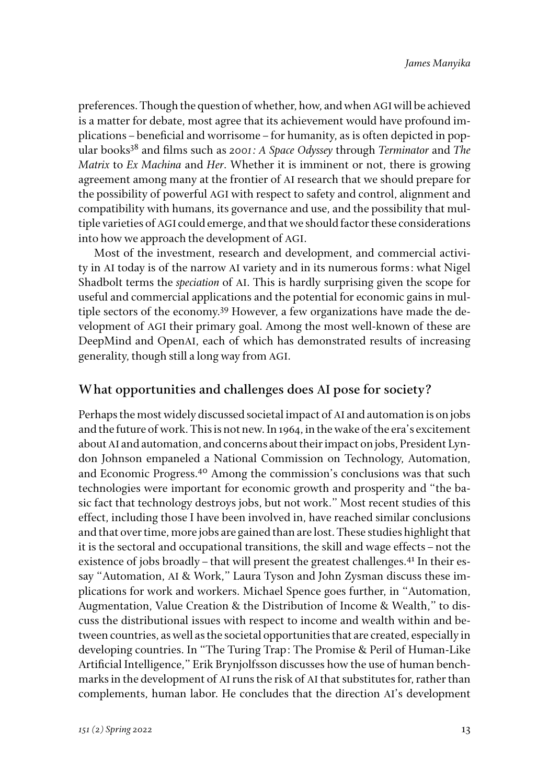preferences. Though the question of whether, how, and when AGI will be achieved is a matter for debate, most agree that its achievement would have profound implications–beneficial and worrisome–for humanity, as is often depicted in popular books38 and films such as *2001: A Space Odyssey* through *Terminator* and *The Matrix* to *Ex Machina* and *Her*. Whether it is imminent or not, there is growing agreement among many at the frontier of AI research that we should prepare for the possibility of powerful AGI with respect to safety and control, alignment and compatibility with humans, its governance and use, and the possibility that multiple varieties of AGI could emerge, and that we should factor these considerations into how we approach the development of AGI.

Most of the investment, research and development, and commercial activity in AI today is of the narrow AI variety and in its numerous forms: what Nigel Shadbolt terms the *speciation* of AI. This is hardly surprising given the scope for useful and commercial applications and the potential for economic gains in multiple sectors of the economy.<sup>39</sup> However, a few organizations have made the development of AGI their primary goal. Among the most well-known of these are DeepMind and OpenAI, each of which has demonstrated results of increasing generality, though still a long way from AGI.

## **What opportunities and challenges does AI pose for society?**

Perhaps the most widely discussed societal impact of AI and automation is on jobs and the future of work. This is not new. In 1964, in the wake of the era's excitement about AI and automation, and concerns about their impact on jobs, President Lyndon Johnson empaneled a National Commission on Technology, Automation, and Economic Progress.40 Among the commission's conclusions was that such technologies were important for economic growth and prosperity and "the basic fact that technology destroys jobs, but not work." Most recent studies of this effect, including those I have been involved in, have reached similar conclusions and that over time, more jobs are gained than are lost. These studies highlight that it is the sectoral and occupational transitions, the skill and wage effects–not the existence of jobs broadly – that will present the greatest challenges.<sup>41</sup> In their essay "Automation, AI & Work," Laura Tyson and John Zysman discuss these implications for work and workers. Michael Spence goes further, in "Automation, Augmentation, Value Creation & the Distribution of Income & Wealth," to discuss the distributional issues with respect to income and wealth within and between countries, as well as the societal opportunities that are created, especially in developing countries. In "The Turing Trap: The Promise & Peril of Human-Like Artificial Intelligence," Erik Brynjolfsson discusses how the use of human benchmarks in the development of AI runs the risk of AI that substitutes for, rather than complements, human labor. He concludes that the direction AI's development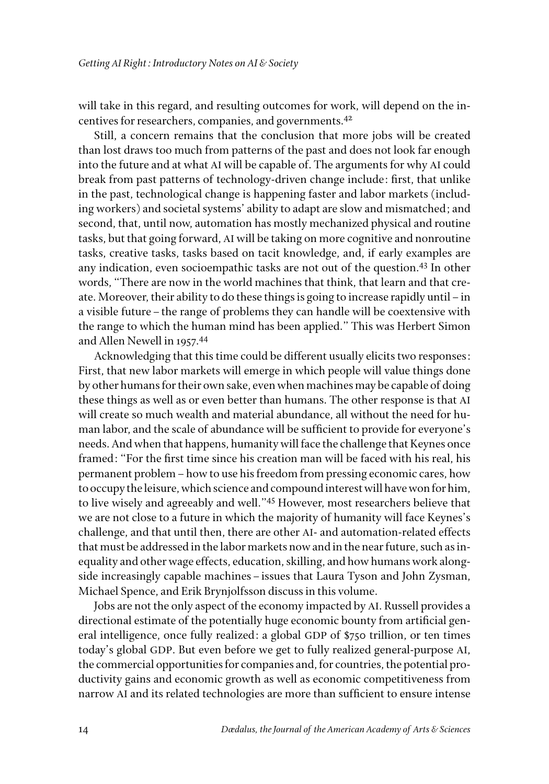will take in this regard, and resulting outcomes for work, will depend on the incentives for researchers, companies, and governments.42

Still, a concern remains that the conclusion that more jobs will be created than lost draws too much from patterns of the past and does not look far enough into the future and at what AI will be capable of. The arguments for why AI could break from past patterns of technology-driven change include: first, that unlike in the past, technological change is happening faster and labor markets (including workers) and societal systems' ability to adapt are slow and mismatched; and second, that, until now, automation has mostly mechanized physical and routine tasks, but that going forward, AI will be taking on more cognitive and nonroutine tasks, creative tasks, tasks based on tacit knowledge, and, if early examples are any indication, even socioempathic tasks are not out of the question.43 In other words, "There are now in the world machines that think, that learn and that create. Moreover, their ability to do these things is going to increase rapidly until–in a visible future–the range of problems they can handle will be coextensive with the range to which the human mind has been applied." This was Herbert Simon and Allen Newell in 1957.44

Acknowledging that this time could be different usually elicits two responses: First, that new labor markets will emerge in which people will value things done by other humans for their own sake, even when machines may be capable of doing these things as well as or even better than humans. The other response is that AI will create so much wealth and material abundance, all without the need for human labor, and the scale of abundance will be sufficient to provide for everyone's needs. And when that happens, humanity will face the challenge that Keynes once framed: "For the first time since his creation man will be faced with his real, his permanent problem–how to use his freedom from pressing economic cares, how to occupy the leisure, which science and compound interest will have won for him, to live wisely and agreeably and well."45 However, most researchers believe that we are not close to a future in which the majority of humanity will face Keynes's challenge, and that until then, there are other AI- and automation-related effects that must be addressed in the labor markets now and in the near future, such as inequality and other wage effects, education, skilling, and how humans work alongside increasingly capable machines–issues that Laura Tyson and John Zysman, Michael Spence, and Erik Brynjolfsson discuss in this volume.

Jobs are not the only aspect of the economy impacted by AI. Russell provides a directional estimate of the potentially huge economic bounty from artificial general intelligence, once fully realized: a global GDP of \$750 trillion, or ten times today's global GDP. But even before we get to fully realized general-purpose AI, the commercial opportunities for companies and, for countries, the potential productivity gains and economic growth as well as economic competitiveness from narrow AI and its related technologies are more than sufficient to ensure intense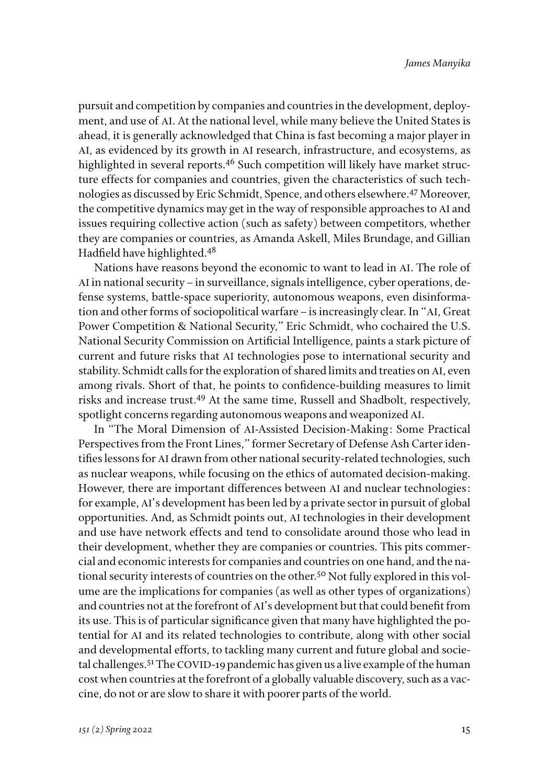pursuit and competition by companies and countries in the development, deployment, and use of AI. At the national level, while many believe the United States is ahead, it is generally acknowledged that China is fast becoming a major player in AI, as evidenced by its growth in AI research, infrastructure, and ecosystems, as highlighted in several reports.<sup>46</sup> Such competition will likely have market structure effects for companies and countries, given the characteristics of such technologies as discussed by Eric Schmidt, Spence, and others elsewhere.47 Moreover, the competitive dynamics may get in the way of responsible approaches to AI and issues requiring collective action (such as safety) between competitors, whether they are companies or countries, as Amanda Askell, Miles Brundage, and Gillian Hadfield have highlighted.<sup>48</sup>

Nations have reasons beyond the economic to want to lead in AI. The role of AI in national security – in surveillance, signals intelligence, cyber operations, defense systems, battle-space superiority, autonomous weapons, even disinformation and other forms of sociopolitical warfare–is increasingly clear. In "AI, Great Power Competition & National Security," Eric Schmidt, who cochaired the U.S. National Security Commission on Artificial Intelligence, paints a stark picture of current and future risks that AI technologies pose to international security and stability. Schmidt calls for the exploration of shared limits and treaties on AI, even among rivals. Short of that, he points to confidence-building measures to limit risks and increase trust.49 At the same time, Russell and Shadbolt, respectively, spotlight concerns regarding autonomous weapons and weaponized AI.

In "The Moral Dimension of AI-Assisted Decision-Making: Some Practical Perspectives from the Front Lines," former Secretary of Defense Ash Carter identifies lessons for AI drawn from other national security-related technologies, such as nuclear weapons, while focusing on the ethics of automated decision-making. However, there are important differences between AI and nuclear technologies: for example, AI's development has been led by a private sector in pursuit of global opportunities. And, as Schmidt points out, AI technologies in their development and use have network effects and tend to consolidate around those who lead in their development, whether they are companies or countries. This pits commercial and economic interests for companies and countries on one hand, and the national security interests of countries on the other.50 Not fully explored in this volume are the implications for companies (as well as other types of organizations) and countries not at the forefront of AI's development but that could benefit from its use. This is of particular significance given that many have highlighted the potential for AI and its related technologies to contribute, along with other social and developmental efforts, to tackling many current and future global and societal challenges.<sup>51</sup> The COVID-19 pandemic has given us a live example of the human cost when countries at the forefront of a globally valuable discovery, such as a vaccine, do not or are slow to share it with poorer parts of the world.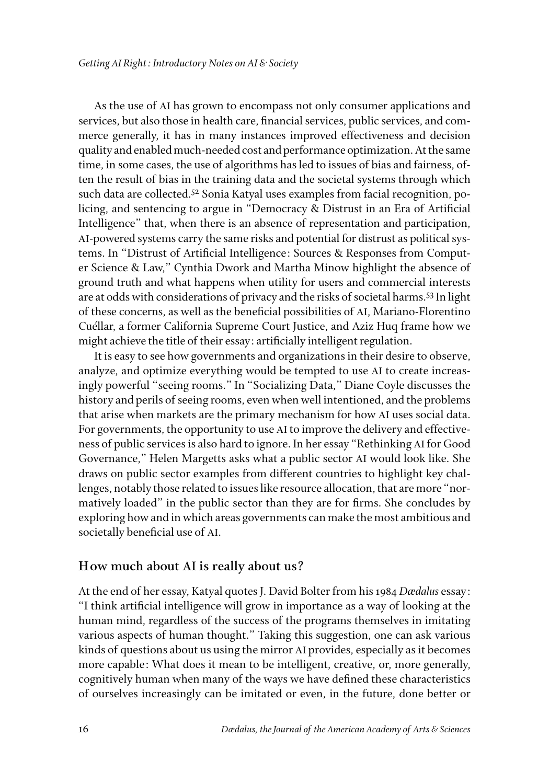As the use of AI has grown to encompass not only consumer applications and services, but also those in health care, financial services, public services, and commerce generally, it has in many instances improved effectiveness and decision quality and enabled much-needed cost and performance optimization. At the same time, in some cases, the use of algorithms has led to issues of bias and fairness, often the result of bias in the training data and the societal systems through which such data are collected.<sup>52</sup> Sonia Katyal uses examples from facial recognition, policing, and sentencing to argue in "Democracy & Distrust in an Era of Artificial Intelligence" that, when there is an absence of representation and participation, AI-powered systems carry the same risks and potential for distrust as political systems. In "Distrust of Artificial Intelligence: Sources & Responses from Computer Science & Law," Cynthia Dwork and Martha Minow highlight the absence of ground truth and what happens when utility for users and commercial interests are at odds with considerations of privacy and the risks of societal harms.53 In light of these concerns, as well as the beneficial possibilities of AI, Mariano-Florentino Cuéllar, a former California Supreme Court Justice, and Aziz Huq frame how we might achieve the title of their essay: artificially intelligent regulation.

It is easy to see how governments and organizations in their desire to observe, analyze, and optimize everything would be tempted to use AI to create increasingly powerful "seeing rooms." In "Socializing Data," Diane Coyle discusses the history and perils of seeing rooms, even when well intentioned, and the problems that arise when markets are the primary mechanism for how AI uses social data. For governments, the opportunity to use AI to improve the delivery and effectiveness of public services is also hard to ignore. In her essay "Rethinking AI for Good Governance," Helen Margetts asks what a public sector AI would look like. She draws on public sector examples from different countries to highlight key challenges, notably those related to issues like resource allocation, that are more "normatively loaded" in the public sector than they are for firms. She concludes by exploring how and in which areas governments can make the most ambitious and societally beneficial use of AI.

### **How much about AI is really about us?**

At the end of her essay, Katyal quotes J. David Bolter from his 1984 *Dædalus* essay: "I think artificial intelligence will grow in importance as a way of looking at the human mind, regardless of the success of the programs themselves in imitating various aspects of human thought." Taking this suggestion, one can ask various kinds of questions about us using the mirror AI provides, especially as it becomes more capable: What does it mean to be intelligent, creative, or, more generally, cognitively human when many of the ways we have defined these characteristics of ourselves increasingly can be imitated or even, in the future, done better or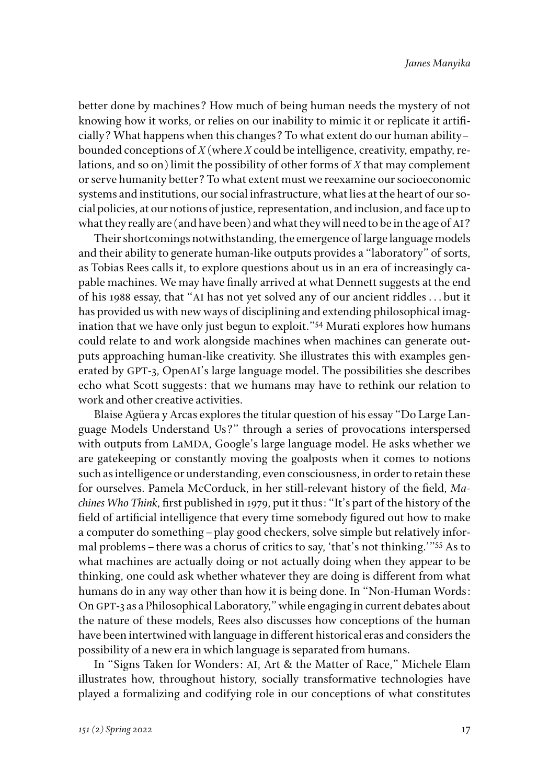better done by machines? How much of being human needs the mystery of not knowing how it works, or relies on our inability to mimic it or replicate it artificially? What happens when this changes? To what extent do our human ability– bounded conceptions of *X* (where *X* could be intelligence, creativity, empathy, relations, and so on) limit the possibility of other forms of *X* that may complement or serve humanity better? To what extent must we reexamine our socioeconomic systems and institutions, our social infrastructure, what lies at the heart of our social policies, at our notions of justice, representation, and inclusion, and face up to what they really are (and have been) and what they will need to be in the age of AI?

Their shortcomings notwithstanding, the emergence of large language models and their ability to generate human-like outputs provides a "laboratory" of sorts, as Tobias Rees calls it, to explore questions about us in an era of increasingly capable machines. We may have finally arrived at what Dennett suggests at the end of his 1988 essay, that "AI has not yet solved any of our ancient riddles . . . but it has provided us with new ways of disciplining and extending philosophical imagination that we have only just begun to exploit."54 Murati explores how humans could relate to and work alongside machines when machines can generate outputs approaching human-like creativity. She illustrates this with examples generated by GPT-3, OpenAI's large language model. The possibilities she describes echo what Scott suggests: that we humans may have to rethink our relation to work and other creative activities.

Blaise Agüera y Arcas explores the titular question of his essay "Do Large Language Models Understand Us?" through a series of provocations interspersed with outputs from LaMDA, Google's large language model. He asks whether we are gatekeeping or constantly moving the goalposts when it comes to notions such as intelligence or understanding, even consciousness, in order to retain these for ourselves. Pamela McCorduck, in her still-relevant history of the field, *Machines Who Think*, first published in 1979, put it thus: "It's part of the history of the field of artificial intelligence that every time somebody figured out how to make a computer do something–play good checkers, solve simple but relatively informal problems–there was a chorus of critics to say, 'that's not thinking.'"55 As to what machines are actually doing or not actually doing when they appear to be thinking, one could ask whether whatever they are doing is different from what humans do in any way other than how it is being done. In "Non-Human Words: On GPT-3 as a Philosophical Laboratory," while engaging in current debates about the nature of these models, Rees also discusses how conceptions of the human have been intertwined with language in different historical eras and considers the possibility of a new era in which language is separated from humans.

In "Signs Taken for Wonders: AI, Art & the Matter of Race," Michele Elam illustrates how, throughout history, socially transformative technologies have played a formalizing and codifying role in our conceptions of what constitutes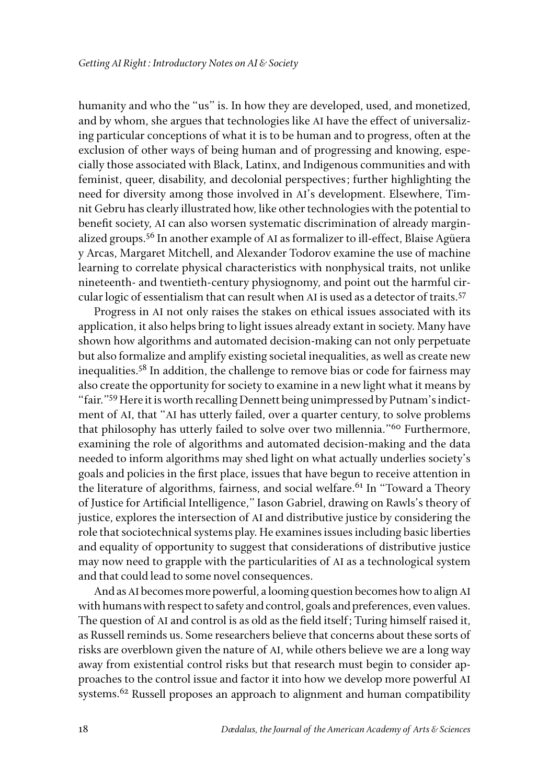humanity and who the "us" is. In how they are developed, used, and monetized, and by whom, she argues that technologies like AI have the effect of universalizing particular conceptions of what it is to be human and to progress, often at the exclusion of other ways of being human and of progressing and knowing, especially those associated with Black, Latinx, and Indigenous communities and with feminist, queer, disability, and decolonial perspectives; further highlighting the need for diversity among those involved in AI's development. Elsewhere, Timnit Gebru has clearly illustrated how, like other technologies with the potential to benefit society, AI can also worsen systematic discrimination of already marginalized groups.56 In another example of AI as formalizer to ill-effect, Blaise Agüera y Arcas, Margaret Mitchell, and Alexander Todorov examine the use of machine learning to correlate physical characteristics with nonphysical traits, not unlike nineteenth- and twentieth-century physiognomy, and point out the harmful circular logic of essentialism that can result when AI is used as a detector of traits.57

Progress in AI not only raises the stakes on ethical issues associated with its application, it also helps bring to light issues already extant in society. Many have shown how algorithms and automated decision-making can not only perpetuate but also formalize and amplify existing societal inequalities, as well as create new inequalities.58 In addition, the challenge to remove bias or code for fairness may also create the opportunity for society to examine in a new light what it means by "fair."59 Here it is worth recalling Dennett being unimpressed by Putnam's indictment of AI, that "AI has utterly failed, over a quarter century, to solve problems that philosophy has utterly failed to solve over two millennia."<sup>60</sup> Furthermore, examining the role of algorithms and automated decision-making and the data needed to inform algorithms may shed light on what actually underlies society's goals and policies in the first place, issues that have begun to receive attention in the literature of algorithms, fairness, and social welfare.<sup>61</sup> In "Toward a Theory" of Justice for Artificial Intelligence," Iason Gabriel, drawing on Rawls's theory of justice, explores the intersection of AI and distributive justice by considering the role that sociotechnical systems play. He examines issues including basic liberties and equality of opportunity to suggest that considerations of distributive justice may now need to grapple with the particularities of AI as a technological system and that could lead to some novel consequences.

And as AI becomes more powerful, a looming question becomes how to align AI with humans with respect to safety and control, goals and preferences, even values. The question of AI and control is as old as the field itself; Turing himself raised it, as Russell reminds us. Some researchers believe that concerns about these sorts of risks are overblown given the nature of AI, while others believe we are a long way away from existential control risks but that research must begin to consider approaches to the control issue and factor it into how we develop more powerful AI systems.<sup>62</sup> Russell proposes an approach to alignment and human compatibility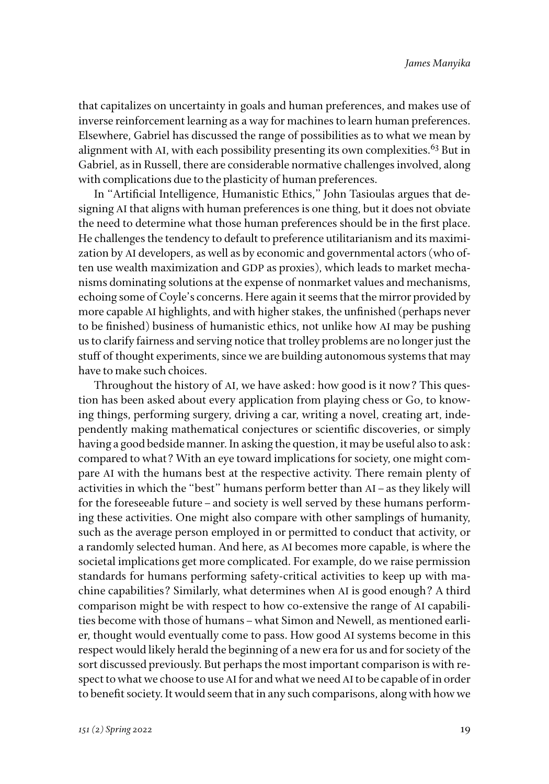that capitalizes on uncertainty in goals and human preferences, and makes use of inverse reinforcement learning as a way for machines to learn human preferences. Elsewhere, Gabriel has discussed the range of possibilities as to what we mean by alignment with AI, with each possibility presenting its own complexities.<sup>63</sup> But in Gabriel, as in Russell, there are considerable normative challenges involved, along with complications due to the plasticity of human preferences.

In "Artificial Intelligence, Humanistic Ethics," John Tasioulas argues that designing AI that aligns with human preferences is one thing, but it does not obviate the need to determine what those human preferences should be in the first place. He challenges the tendency to default to preference utilitarianism and its maximization by AI developers, as well as by economic and governmental actors (who often use wealth maximization and GDP as proxies), which leads to market mechanisms dominating solutions at the expense of nonmarket values and mechanisms, echoing some of Coyle's concerns. Here again it seems that the mirror provided by more capable AI highlights, and with higher stakes, the unfinished (perhaps never to be finished) business of humanistic ethics, not unlike how AI may be pushing us to clarify fairness and serving notice that trolley problems are no longer just the stuff of thought experiments, since we are building autonomous systems that may have to make such choices.

Throughout the history of AI, we have asked: how good is it now? This question has been asked about every application from playing chess or Go, to knowing things, performing surgery, driving a car, writing a novel, creating art, independently making mathematical conjectures or scientific discoveries, or simply having a good bedside manner. In asking the question, it may be useful also to ask: compared to what? With an eye toward implications for society, one might compare AI with the humans best at the respective activity. There remain plenty of activities in which the "best" humans perform better than AI–as they likely will for the foreseeable future–and society is well served by these humans performing these activities. One might also compare with other samplings of humanity, such as the average person employed in or permitted to conduct that activity, or a randomly selected human. And here, as AI becomes more capable, is where the societal implications get more complicated. For example, do we raise permission standards for humans performing safety-critical activities to keep up with machine capabilities? Similarly, what determines when AI is good enough? A third comparison might be with respect to how co-extensive the range of AI capabilities become with those of humans–what Simon and Newell, as mentioned earlier, thought would eventually come to pass. How good AI systems become in this respect would likely herald the beginning of a new era for us and for society of the sort discussed previously. But perhaps the most important comparison is with respect to what we choose to use AI for and what we need AI to be capable of in order to benefit society. It would seem that in any such comparisons, along with how we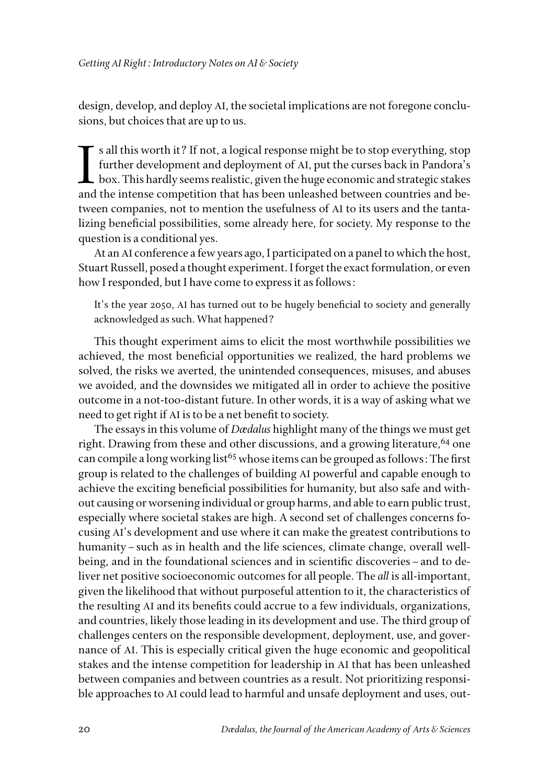design, develop, and deploy AI, the societal implications are not foregone conclusions, but choices that are up to us.

I s all this worth it? If not, a logical response might be to stop everything, stop further development and deployment of AI, put the curses back in Pandora's box. This hardly seems realistic, given the huge economic and strategic stakes and the intense competition that has been unleashed between countries and between companies, not to mention the usefulness of AI to its users and the tantalizing beneficial possibilities, some already here, for society. My response to the question is a conditional yes.

At an AI conference a few years ago, I participated on a panel to which the host, Stuart Russell, posed a thought experiment. I forget the exact formulation, or even how I responded, but I have come to express it as follows:

It's the year 2050, AI has turned out to be hugely beneficial to society and generally acknowledged as such. What happened?

This thought experiment aims to elicit the most worthwhile possibilities we achieved, the most beneficial opportunities we realized, the hard problems we solved, the risks we averted, the unintended consequences, misuses, and abuses we avoided, and the downsides we mitigated all in order to achieve the positive outcome in a not-too-distant future. In other words, it is a way of asking what we need to get right if AI is to be a net benefit to society.

The essays in this volume of *Dædalus* highlight many of the things we must get right. Drawing from these and other discussions, and a growing literature, <sup>64</sup> one can compile a long working list<sup>65</sup> whose items can be grouped as follows: The first group is related to the challenges of building AI powerful and capable enough to achieve the exciting beneficial possibilities for humanity, but also safe and without causing or worsening individual or group harms, and able to earn public trust, especially where societal stakes are high. A second set of challenges concerns focusing AI's development and use where it can make the greatest contributions to humanity–such as in health and the life sciences, climate change, overall wellbeing, and in the foundational sciences and in scientific discoveries–and to deliver net positive socioeconomic outcomes for all people. The *all* is all-important, given the likelihood that without purposeful attention to it, the characteristics of the resulting AI and its benefits could accrue to a few individuals, organizations, and countries, likely those leading in its development and use. The third group of challenges centers on the responsible development, deployment, use, and governance of AI. This is especially critical given the huge economic and geopolitical stakes and the intense competition for leadership in AI that has been unleashed between companies and between countries as a result. Not prioritizing responsible approaches to AI could lead to harmful and unsafe deployment and uses, out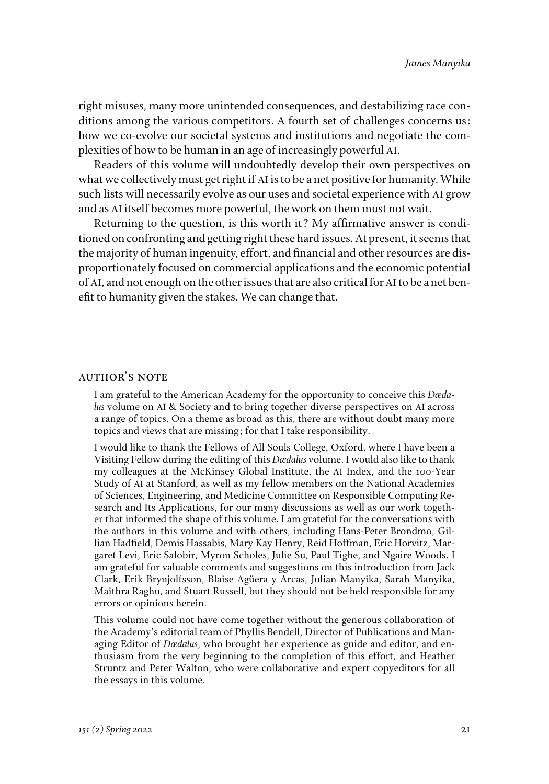right misuses, many more unintended consequences, and destabilizing race conditions among the various competitors. A fourth set of challenges concerns us: how we co-evolve our societal systems and institutions and negotiate the complexities of how to be human in an age of increasingly powerful AI.

Readers of this volume will undoubtedly develop their own perspectives on what we collectively must get right if AI is to be a net positive for humanity. While such lists will necessarily evolve as our uses and societal experience with AI grow and as AI itself becomes more powerful, the work on them must not wait.

Returning to the question, is this worth it? My affirmative answer is conditioned on confronting and getting right these hard issues. At present, it seems that the majority of human ingenuity, effort, and financial and other resources are disproportionately focused on commercial applications and the economic potential of AI, and not enough on the other issues that are also critical for AI to be a net benefit to humanity given the stakes. We can change that.

### author's note

I am grateful to the American Academy for the opportunity to conceive this *Dædalus* volume on AI & Society and to bring together diverse perspectives on AI across a range of topics. On a theme as broad as this, there are without doubt many more topics and views that are missing; for that I take responsibility.

I would like to thank the Fellows of All Souls College, Oxford, where I have been a Visiting Fellow during the editing of this *Dædalus* volume. I would also like to thank my colleagues at the McKinsey Global Institute, the AI Index, and the 100-Year Study of AI at Stanford, as well as my fellow members on the National Academies of Sciences, Engineering, and Medicine Committee on Responsible Computing Research and Its Applications, for our many discussions as well as our work together that informed the shape of this volume. I am grateful for the conversations with the authors in this volume and with others, including Hans-Peter Brondmo, Gillian Hadfield, Demis Hassabis, Mary Kay Henry, Reid Hoffman, Eric Horvitz, Margaret Levi, Eric Salobir, Myron Scholes, Julie Su, Paul Tighe, and Ngaire Woods. I am grateful for valuable comments and suggestions on this introduction from Jack Clark, Erik Brynjolfsson, Blaise Agüera y Arcas, Julian Manyika, Sarah Manyika, Maithra Raghu, and Stuart Russell, but they should not be held responsible for any errors or opinions herein.

This volume could not have come together without the generous collaboration of the Academy's editorial team of Phyllis Bendell, Director of Publications and Managing Editor of *Dædalus*, who brought her experience as guide and editor, and enthusiasm from the very beginning to the completion of this effort, and Heather Struntz and Peter Walton, who were collaborative and expert copyeditors for all the essays in this volume.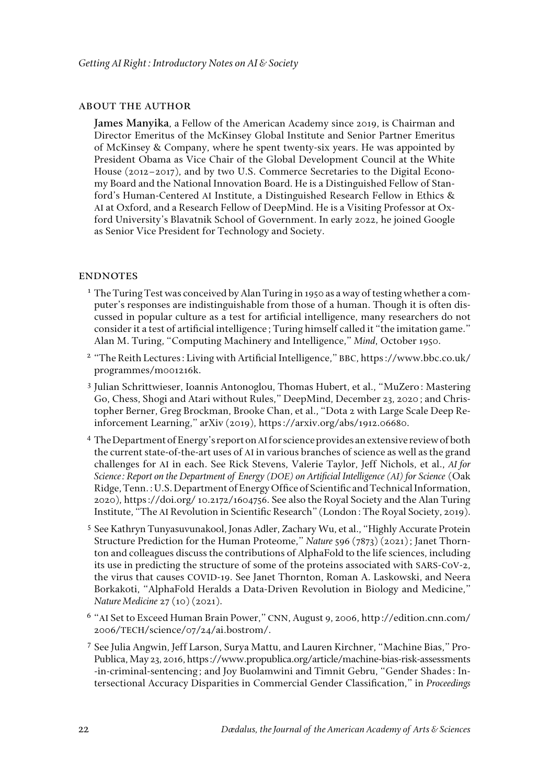#### about the author

**James Manyika**, a Fellow of the American Academy since 2019, is Chairman and Director Emeritus of the McKinsey Global Institute and Senior Partner Emeritus of McKinsey & Company, where he spent twenty-six years. He was appointed by President Obama as Vice Chair of the Global Development Council at the White House (2012–2017), and by two U.S. Commerce Secretaries to the Digital Economy Board and the National Innovation Board. He is a Distinguished Fellow of Stanford's Human-Centered AI Institute, a Distinguished Research Fellow in Ethics & AI at Oxford, and a Research Fellow of DeepMind. He is a Visiting Professor at Oxford University's Blavatnik School of Government. In early 2022, he joined Google as Senior Vice President for Technology and Society.

#### **ENDNOTES**

- $1$  The Turing Test was conceived by Alan Turing in 1950 as a way of testing whether a computer's responses are indistinguishable from those of a human. Though it is often discussed in popular culture as a test for artificial intelligence, many researchers do not consider it a test of artificial intelligence; Turing himself called it "the imitation game." Alan M. Turing, "Computing Machinery and Intelligence," *Mind*, October 1950.
- <sup>2</sup> "The Reith Lectures: Living with Artificial Intelligence," BBC, https://www.bbc.co.uk/ programmes/m001216k.
- <sup>3</sup> Julian Schrittwieser, Ioannis Antonoglou, Thomas Hubert, et al., "MuZero: Mastering Go, Chess, Shogi and Atari without Rules," DeepMind, December 23, 2020; and Christopher Berner, Greg Brockman, Brooke Chan, et al., "Dota 2 with Large Scale Deep Reinforcement Learning," arXiv (2019), https://arxiv.org/abs/1912.06680.
- <sup>4</sup> The Department of Energy's report on AI for science provides an extensive review of both the current state-of-the-art uses of AI in various branches of science as well as the grand challenges for AI in each. See Rick Stevens, Valerie Taylor, Jeff Nichols, et al., *AI for Science: Report on the Department of Energy (DOE) on Artificial Intelligence (AI) for Science* (Oak Ridge, Tenn.: U.S. Department of Energy Office of Scientific and Technical Information, 2020), https://doi.org/ 10.2172/1604756. See also the Royal Society and the Alan Turing Institute, "The AI Revolution in Scientific Research" (London: The Royal Society, 2019).
- <sup>5</sup> See Kathryn Tunyasuvunakool, Jonas Adler, Zachary Wu, et al., "Highly Accurate Protein Structure Prediction for the Human Proteome," *Nature* 596 (7873) (2021); Janet Thornton and colleagues discuss the contributions of AlphaFold to the life sciences, including its use in predicting the structure of some of the proteins associated with SARS-CoV-2, the virus that causes COVID-19. See Janet Thornton, Roman A. Laskowski, and Neera Borkakoti, "AlphaFold Heralds a Data-Driven Revolution in Biology and Medicine," *Nature Medicine* 27 (10) (2021).
- <sup>6</sup> "AI Set to Exceed Human Brain Power," CNN, August 9, 2006, [http://edition.cnn.com/](http://edition.cnn.com/2006/TECH/science/07/24/ai.bostrom/) 2006/TECH[/science/07/24/ai.bostrom/](http://edition.cnn.com/2006/TECH/science/07/24/ai.bostrom/).
- <sup>7</sup> See Julia Angwin, Jeff Larson, Surya Mattu, and Lauren Kirchner, "Machine Bias," Pro-Publica, May 23, 2016, [https://www.propublica.org/article/machine-bias-risk-assessments](https://www.propublica.org/article/machine-bias-risk-assessments-in-criminal-sentencing) [-in-criminal-sentencing](https://www.propublica.org/article/machine-bias-risk-assessments-in-criminal-sentencing); and Joy Buolamwini and Timnit Gebru, "Gender Shades: Intersectional Accuracy Disparities in Commercial Gender Classification," in *Proceedings*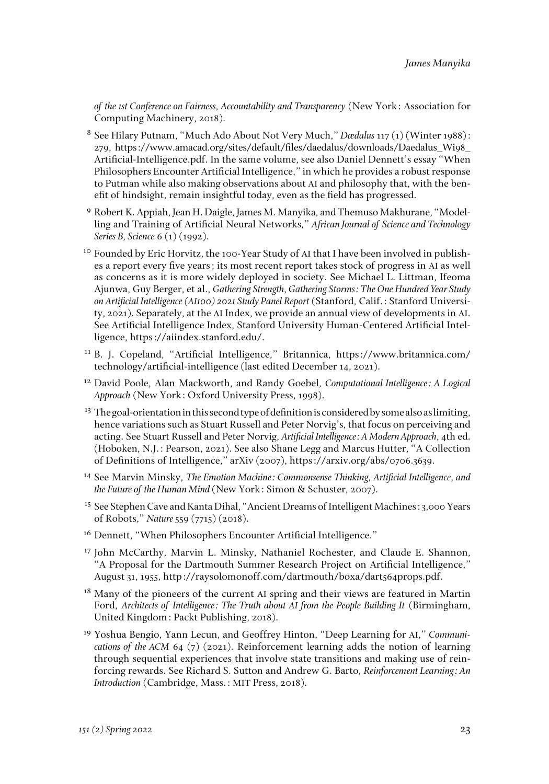*of the 1st Conference on Fairness, Accountability and Transparency* (New York: Association for Computing Machinery, 2018).

- <sup>8</sup> See Hilary Putnam, "Much Ado About Not Very Much," *Dædalus* 117 (1) (Winter 1988): 279, https://www.amacad.org/sites/default/files/daedalus/downloads/Daedalus\_Wi98\_ Artificial-Intelligence.pdf. In the same volume, see also Daniel Dennett's essay "When Philosophers Encounter Artificial Intelligence," in which he provides a robust response to Putman while also making observations about AI and philosophy that, with the benefit of hindsight, remain insightful today, even as the field has progressed.
- <sup>9</sup> Robert K. Appiah, Jean H. Daigle, James M. Manyika, and Themuso Makhurane, "Modelling and Training of Artificial Neural Networks," *African Journal of Science and Technology Series B, Science* 6 (1) (1992).
- <sup>10</sup> Founded by Eric Horvitz, the 100-Year Study of AI that I have been involved in publishes a report every five years; its most recent report takes stock of progress in AI as well as concerns as it is more widely deployed in society. See Michael L. Littman, Ifeoma Ajunwa, Guy Berger, et al., *Gathering Strength, Gathering Storms: The One Hundred Year Study on Artificial Intelligence (AI100) 2021 Study Panel Report* (Stanford, Calif.: Stanford University, 2021). Separately, at the AI Index, we provide an annual view of developments in AI. See Artificial Intelligence Index, Stanford University Human-Centered Artificial Intelligence, https://aiindex.stanford.edu/.
- <sup>11</sup> B. J. Copeland, "Artificial Intelligence," Britannica, [https://www.britannica.com/](https://www.britannica.com/technology/artificial-intelligence) [technology/artificial-intelligence](https://www.britannica.com/technology/artificial-intelligence) (last edited December 14, 2021).
- <sup>12</sup> David Poole, Alan Mackworth, and Randy Goebel, *Computational Intelligence: A Logical Approach* (New York: Oxford University Press, 1998).
- $13$  The goal-orientation in this second type of definition is considered by some also as limiting, hence variations such as Stuart Russell and Peter Norvig's, that focus on perceiving and acting. See Stuart Russell and Peter Norvig, *Artificial Intelligence: A Modern Approach*, 4th ed. (Hoboken, N.J.: Pearson, 2021). See also Shane Legg and Marcus Hutter, "A Collection of Definitions of Intelligence," arXiv (2007), https://arxiv.org/abs/0706.3639.
- <sup>14</sup> See Marvin Minsky, *The Emotion Machine: Commonsense Thinking, Artificial Intelligence, and the Future of the Human Mind* (New York: Simon & Schuster, 2007).
- <sup>15</sup> See Stephen Cave and Kanta Dihal, "Ancient Dreams of Intelligent Machines: 3,000 Years of Robots," *Nature* 559 (7715) (2018).
- <sup>16</sup> Dennett, "When Philosophers Encounter Artificial Intelligence."
- <sup>17</sup> John McCarthy, Marvin L. Minsky, Nathaniel Rochester, and Claude E. Shannon, "A Proposal for the Dartmouth Summer Research Project on Artificial Intelligence," August 31, 1955, http://raysolomonoff.com/dartmouth/boxa/dart564props.pdf.
- <sup>18</sup> Many of the pioneers of the current AI spring and their views are featured in Martin Ford, Architects of Intelligence: The Truth about AI from the People Building It (Birmingham, United Kingdom: Packt Publishing, 2018).
- <sup>19</sup> Yoshua Bengio, Yann Lecun, and Geoffrey Hinton, "Deep Learning for AI," *Communications of the ACM* 64 (7) (2021). Reinforcement learning adds the notion of learning through sequential experiences that involve state transitions and making use of reinforcing rewards. See Richard S. Sutton and Andrew G. Barto, *Reinforcement Learning: An Introduction* (Cambridge, Mass.: MIT Press, 2018).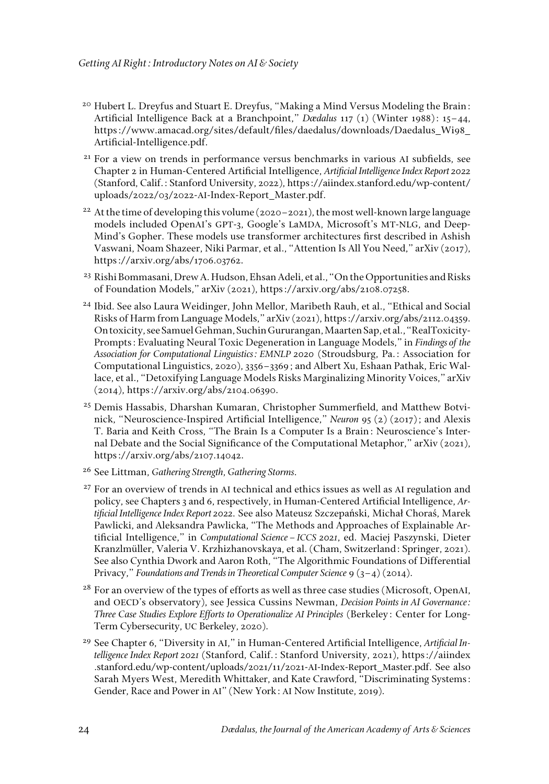- $20$  Hubert L. Dreyfus and Stuart E. Dreyfus, "Making a Mind Versus Modeling the Brain: Artificial Intelligence Back at a Branchpoint," *Dædalus* 117 (1) (Winter 1988): 15–44, https://www.amacad.org/sites/default/files/daedalus/downloads/Daedalus\_Wi98\_ Artificial-Intelligence.pdf.
- <sup>21</sup> For a view on trends in performance versus benchmarks in various AI subfields, see Chapter 2 in Human-Centered Artificial Intelligence, *Artificial Intelligence Index Report 2022* (Stanford, Calif.: Stanford University, 2022), https://aiindex.stanford.edu/wp-content/ uploads/2022/03/2022-AI-Index-Report\_Master.pdf.
- <sup>22</sup> At the time of developing this volume (2020-2021), the most well-known large language models included OpenAI's GPT-3, Google's LaMDA, Microsoft's MT-NLG, and Deep-Mind's Gopher. These models use transformer architectures first described in Ashish Vaswani, Noam Shazeer, Niki Parmar, et al., "Attention Is All You Need," arXiv (2017), https://arxiv.org/abs/1706.03762.
- <sup>23</sup> Rishi Bommasani, Drew A. Hudson, Ehsan Adeli, et al., "On the Opportunities and Risks of Foundation Models," arXiv (2021), https://arxiv.org/abs/2108.07258.
- <sup>24</sup> Ibid. See also Laura Weidinger, John Mellor, Maribeth Rauh, et al., "Ethical and Social Risks of Harm from Language Models," arXiv (2021),<https://arxiv.org/abs/2112.04359>. On toxicity, see Samuel Gehman, Suchin Gururangan, Maarten Sap, et al., "RealToxicity-Prompts: Evaluating Neural Toxic Degeneration in Language Models," in *Findings of the Association for Computational Linguistics: EMNLP 2020* (Stroudsburg, Pa.: Association for Computational Linguistics, 2020), 3356–3369; and Albert Xu, Eshaan Pathak, Eric Wallace, et al., "Detoxifying Language Models Risks Marginalizing Minority Voices," arXiv (2014), https://arxiv.org/abs/2104.06390.
- <sup>25</sup> Demis Hassabis, Dharshan Kumaran, Christopher Summerfield, and Matthew Botvinick, "Neuroscience-Inspired Artificial Intelligence," *Neuron* 95 (2) (2017); and Alexis T. Baria and Keith Cross, "The Brain Is a Computer Is a Brain: Neuroscience's Internal Debate and the Social Significance of the Computational Metaphor," arXiv (2021), https://arxiv.org/abs/2107.14042.
- <sup>26</sup> See Littman, *Gathering Strength, Gathering Storms.*
- <sup>27</sup> For an overview of trends in AI technical and ethics issues as well as AI regulation and policy, see Chapters 3 and 6, respectively, in Human-Centered Artificial Intelligence, *Artificial Intelligence Index Report 2022.* See also Mateusz Szczepański, Michał Choraś, Marek Pawlicki, and Aleksandra Pawlicka, "The Methods and Approaches of Explainable Artificial Intelligence," in *Computational Science–ICCS 2021*, ed. Maciej Paszynski, Dieter Kranzlmüller, Valeria V. Krzhizhanovskaya, et al. (Cham, Switzerland: Springer, 2021). See also Cynthia Dwork and Aaron Roth, "The Algorithmic Foundations of Differential Privacy," *Foundations and Trends in Theoretical Computer Science* 9 (3–4) (2014).
- <sup>28</sup> For an overview of the types of efforts as well as three case studies (Microsoft, OpenAI, and OECD's observatory), see Jessica Cussins Newman, *Decision Points in AI Governance: Three Case Studies Explore Efforts to Operationalize AI Principles* (Berkeley: Center for Long-Term Cybersecurity, UC Berkeley, 2020).
- <sup>29</sup> See Chapter 6, "Diversity in AI," in Human-Centered Artificial Intelligence, *Artificial Intelligence Index Report 2021* (Stanford, Calif.: Stanford University, 2021), https://aiindex .stanford.edu/wp-content/uploads/2021/11/2021-AI-Index-Report\_Master.pdf. See also Sarah Myers West, Meredith Whittaker, and Kate Crawford, "Discriminating Systems: Gender, Race and Power in AI" (New York: AI Now Institute, 2019).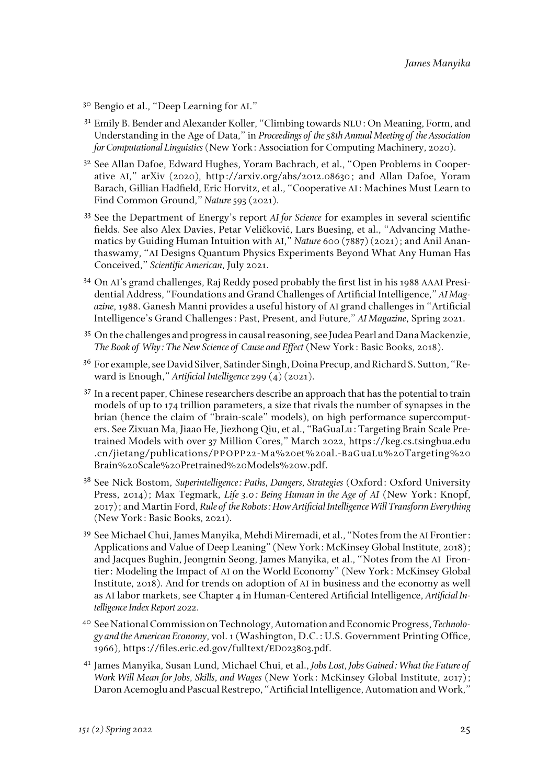- <sup>30</sup> Bengio et al., "Deep Learning for AI."
- <sup>31</sup> Emily B. Bender and Alexander Koller, "Climbing towards NLU: On Meaning, Form, and Understanding in the Age of Data," in *Proceedings of the 58th Annual Meeting of the Association for Computational Linguistics* (New York: Association for Computing Machinery, 2020).
- <sup>32</sup> See Allan Dafoe, Edward Hughes, Yoram Bachrach, et al., "Open Problems in Cooperative AI," arXiv (2020), [http://arxiv.org/abs/2012.08630](http://www.google.com/url?q=http%3A%2F%2Farxiv.org%2Fabs%2F2012.08630&sa=D&sntz=1&usg=AFQjCNG_UWqXbmw0Ukt_b2pUOEqnZXGcSw); and Allan Dafoe, Yoram Barach, Gillian Hadfield, Eric Horvitz, et al., "Cooperative AI: Machines Must Learn to Find Common Ground," *Nature* 593 (2021).
- <sup>33</sup> See the Department of Energy's report *AI for Science* for examples in several scientific fields. See also Alex Davies, Petar Veličković, Lars Buesing, et al., "Advancing Mathematics by Guiding Human Intuition with AI," *Nature* 600 (7887) (2021); and Anil Ananthaswamy, "AI Designs Quantum Physics Experiments Beyond What Any Human Has Conceived," *Scientific American*, July 2021.
- <sup>34</sup> On AI's grand challenges, Raj Reddy posed probably the first list in his 1988 AAAI Presidential Address, "Foundations and Grand Challenges of Artificial Intelligence," *AI Magazine,* 1988. Ganesh Manni provides a useful history of AI grand challenges in "Artificial Intelligence's Grand Challenges: Past, Present, and Future," *AI Magazine*, Spring 2021.
- <sup>35</sup> On the challenges and progress in causal reasoning, see Judea Pearl and Dana Mackenzie, *The Book of Why: The New Science of Cause and Effect* (New York: Basic Books, 2018).
- <sup>36</sup> For example, see David Silver, Satinder Singh, Doina Precup, and Richard S. Sutton, "Reward is Enough," *Artificial Intelligence* 299 (4) (2021).
- <sup>37</sup> In a recent paper, Chinese researchers describe an approach that has the potential to train models of up to 174 trillion parameters, a size that rivals the number of synapses in the brian (hence the claim of "brain-scale" models), on high performance supercomputers. See Zixuan Ma, Jiaao He, Jiezhong Qiu, et al., "BaGuaLu: Targeting Brain Scale Pretrained Models with over 37 Million Cores," March 2022, https://keg.cs.tsinghua.edu .cn/jietang/publications/PPOPP22-Ma%20et%20al.-BaGuaLu%20Targeting%20 Brain%20Scale%20Pretrained%20Models%20w.pdf.
- <sup>38</sup> See Nick Bostom, *Superintelligence: Paths, Dangers, Strategies* (Oxford: Oxford University Press, 2014); Max Tegmark, *Life 3.0: Being Human in the Age of AI* (New York: Knopf, 2017); and Martin Ford, *Rule of the Robots: How Artificial Intelligence Will Transform Everything* (New York: Basic Books, 2021).
- <sup>39</sup> See Michael Chui, James Manyika, Mehdi Miremadi, et al., "Notes from the AI Frontier: Applications and Value of Deep Leaning" (New York: McKinsey Global Institute, 2018); and Jacques Bughin, Jeongmin Seong, James Manyika, et al., "Notes from the AI Frontier: Modeling the Impact of AI on the World Economy" (New York: McKinsey Global Institute, 2018). And for trends on adoption of AI in business and the economy as well as AI labor markets, see Chapter 4 in Human-Centered Artificial Intelligence, *Artificial Intelligence Index Report 2022*.
- <sup>40</sup> See National Commission on Technology, Automation and Economic Progress, *Technology and the American Economy*, vol. 1 (Washington, D.C.: U.S. Government Printing Office, 1966), https://files.eric.ed.gov/fulltext/ED023803.pdf.
- <sup>41</sup> James Manyika, Susan Lund, Michael Chui, et al., *Jobs Lost, Jobs Gained: What the Future of Work Will Mean for Jobs, Skills, and Wages* (New York: McKinsey Global Institute, 2017); Daron Acemoglu and Pascual Restrepo, "Artificial Intelligence, Automation and Work,"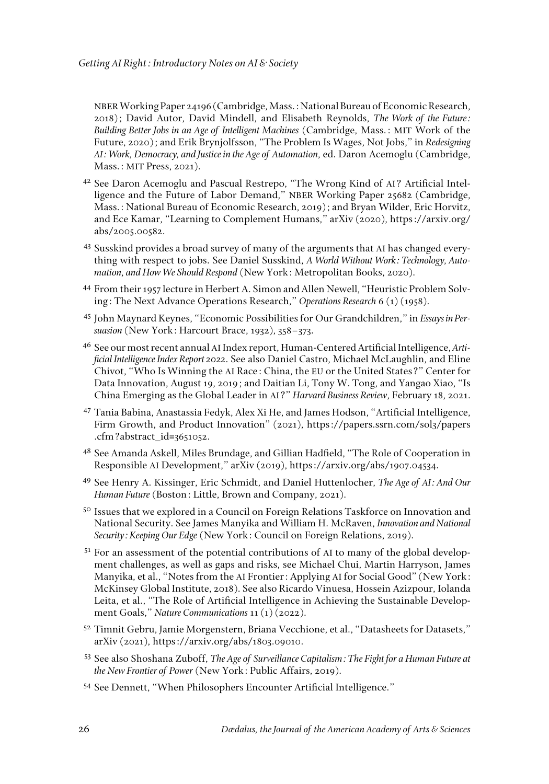NBER Working Paper 24196 (Cambridge, Mass.: National Bureau of Economic Research, 2018); David Autor, David Mindell, and Elisabeth Reynolds, *The Work of the Future: Building Better Jobs in an Age of Intelligent Machines* (Cambridge, Mass.: MIT Work of the Future, 2020); and Erik Brynjolfsson, "The Problem Is Wages, Not Jobs," in *Redesigning AI: Work, Democracy, and Justice in the Age of Automation*, ed. Daron Acemoglu (Cambridge, Mass.: MIT Press, 2021).

- <sup>42</sup> See Daron Acemoglu and Pascual Restrepo, "The Wrong Kind of AI? Artificial Intelligence and the Future of Labor Demand," NBER Working Paper 25682 (Cambridge, Mass.: National Bureau of Economic Research, 2019); and Bryan Wilder, Eric Horvitz, and Ece Kamar, "Learning to Complement Humans," arXiv (2020), https://arxiv.org/ abs/2005.00582.
- <sup>43</sup> Susskind provides a broad survey of many of the arguments that AI has changed everything with respect to jobs. See Daniel Susskind, *A World Without Work: Technology, Automation, and How We Should Respond* (New York: Metropolitan Books, 2020).
- <sup>44</sup> From their 1957 lecture in Herbert A. Simon and Allen Newell, "Heuristic Problem Solving: The Next Advance Operations Research," *Operations Research* 6 (1) (1958).
- <sup>45</sup> John Maynard Keynes, "Economic Possibilities for Our Grandchildren," in *Essays in Persuasion* (New York: Harcourt Brace, 1932), 358–373.
- <sup>46</sup> See our most recent annual AI Index report, Human-Centered Artificial Intelligence, *Artificial Intelligence Index Report 2022*. See also Daniel Castro, Michael McLaughlin, and Eline Chivot, "Who Is Winning the AI Race: China, the EU or the United States?" Center for Data Innovation, August 19, 2019; and Daitian Li, Tony W. Tong, and Yangao Xiao, "Is China Emerging as the Global Leader in AI?" *Harvard Business Review*, February 18, 2021.
- <sup>47</sup> Tania Babina, Anastassia Fedyk, Alex Xi He, and James Hodson, "Artificial Intelligence, Firm Growth, and Product Innovation" (2021), https://papers.ssrn.com/sol3/papers .cfm?abstract\_id=3651052.
- <sup>48</sup> See Amanda Askell, Miles Brundage, and Gillian Hadfield, "The Role of Cooperation in Responsible AI Development," arXiv (2019), https://arxiv.org/abs/1907.04534.
- <sup>49</sup> See Henry A. Kissinger, Eric Schmidt, and Daniel Huttenlocher, *The Age of AI: And Our Human Future* (Boston: Little, Brown and Company, 2021).
- <sup>50</sup> Issues that we explored in a Council on Foreign Relations Taskforce on Innovation and National Security. See James Manyika and William H. McRaven, *Innovation and National Security: Keeping Our Edge* (New York: Council on Foreign Relations, 2019).
- <sup>51</sup> For an assessment of the potential contributions of AI to many of the global development challenges, as well as gaps and risks, see Michael Chui, Martin Harryson, James Manyika, et al., "Notes from the AI Frontier: Applying AI for Social Good" (New York: McKinsey Global Institute, 2018). See also Ricardo Vinuesa, Hossein Azizpour, Iolanda Leita, et al., "The Role of Artificial Intelligence in Achieving the Sustainable Development Goals," *Nature Communications* 11 (1) (2022).
- 52 Timnit Gebru, Jamie Morgenstern, Briana Vecchione, et al., "Datasheets for Datasets," arXiv (2021), https://arxiv.org/abs/1803.09010.
- <sup>53</sup> See also Shoshana Zuboff, *The Age of Surveillance Capitalism: The Fight for a Human Future at the New Frontier of Power* (New York: Public Affairs, 2019).
- <sup>54</sup> See Dennett, "When Philosophers Encounter Artificial Intelligence."